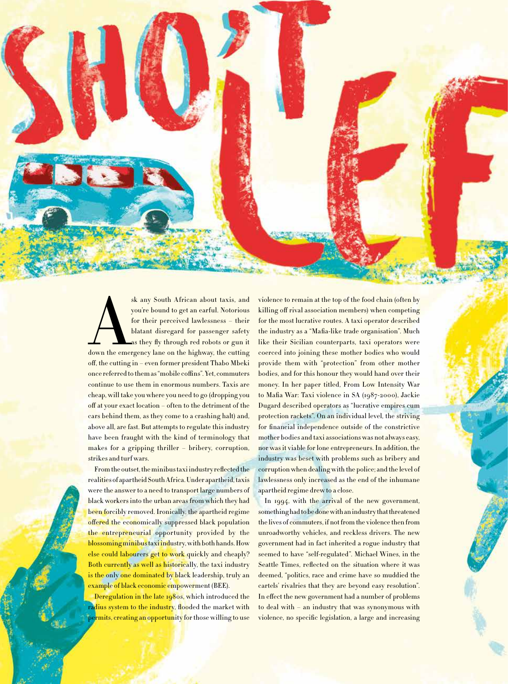South African about taxis, and<br>
you're bound to get an earful. Notorious<br>
for their perceived lawlessness – their<br>
blatant disregard for passenger safety<br>
as they fly through red robots or gun it<br>
down the emergency lane o you're bound to get an earful. Notorious for their perceived lawlessness – their blatant disregard for passenger safety as they fly through red robots or gun it off, the cutting in – even former president Thabo Mbeki once referred to them as "mobile coffins". Yet, commuters continue to use them in enormous numbers. Taxis are cheap, will take you where you need to go (dropping you off at your exact location – often to the detriment of the cars behind them, as they come to a crashing halt) and, above all, are fast. But attempts to regulate this industry have been fraught with the kind of terminology that makes for a gripping thriller – bribery, corruption, strikes and turf wars.

From the outset, the minibus taxi industry reflected the realities of apartheid South Africa. Under apartheid, taxis were the answer to a need to transport large numbers of black workers into the urban areas from which they had been forcibly removed. Ironically, the apartheid regime offered the economically suppressed black population the entrepreneurial opportunity provided by the blossoming minibus taxi industry, with both hands. How else could labourers get to work quickly and cheaply? Both currently as well as historically, the taxi industry is the only one dominated by black leadership, truly an example of black economic empowerment (BEE).

Deregulation in the late 1980s, which introduced the radius system to the industry, flooded the market with permits, creating an opportunity for those willing to use

violence to remain at the top of the food chain (often by killing off rival association members) when competing for the most lucrative routes. A taxi operator described the industry as a "Mafia-like trade organisation". Much like their Sicilian counterparts, taxi operators were coerced into joining these mother bodies who would provide them with "protection" from other mother bodies, and for this honour they would hand over their money. In her paper titled, From Low Intensity War to Mafia War: Taxi violence in SA (1987-2000), Jackie Dugard described operators as "lucrative empires cum protection rackets". On an individual level, the striving for financial independence outside of the constrictive mother bodies and taxi associations was not always easy, nor was it viable for lone entrepreneurs. In addition, the industry was beset with problems such as bribery and corruption when dealing with the police; and the level of lawlessness only increased as the end of the inhumane apartheid regime drew to a close.

In 1994, with the arrival of the new government, something had to be done with an industry that threatened the lives of commuters, if not from the violence then from unroadworthy vehicles, and reckless drivers. The new government had in fact inherited a rogue industry that seemed to have "self-regulated". Michael Wines, in the Seattle Times, reflected on the situation where it was deemed, "politics, race and crime have so muddied the cartels' rivalries that they are beyond easy resolution". In effect the new government had a number of problems to deal with – an industry that was synonymous with violence, no specific legislation, a large and increasing